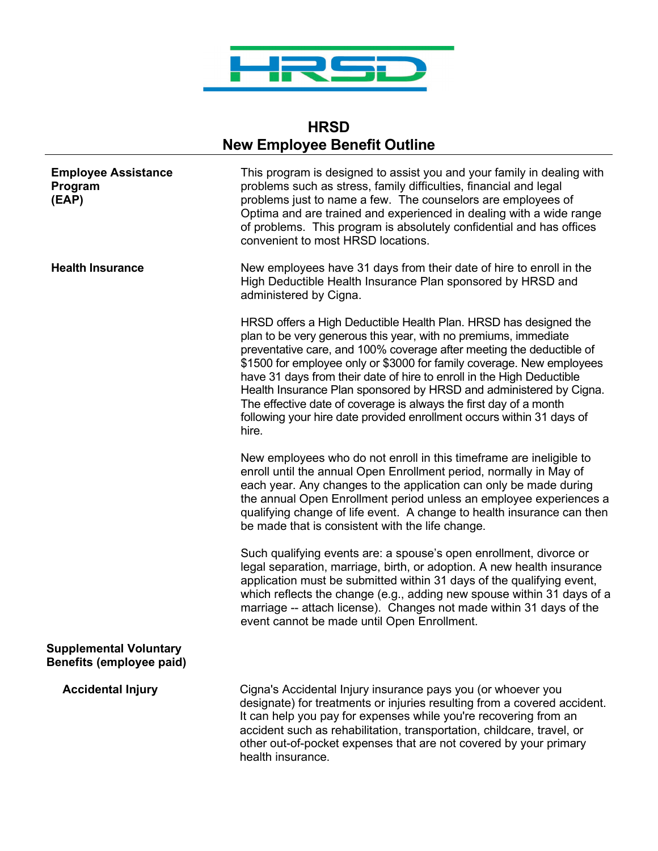

## **HRSD New Employee Benefit Outline**

| <b>Employee Assistance</b><br>Program<br>(EAP)            | This program is designed to assist you and your family in dealing with<br>problems such as stress, family difficulties, financial and legal<br>problems just to name a few. The counselors are employees of<br>Optima and are trained and experienced in dealing with a wide range<br>of problems. This program is absolutely confidential and has offices<br>convenient to most HRSD locations.                                                                                                                                                                                           |
|-----------------------------------------------------------|--------------------------------------------------------------------------------------------------------------------------------------------------------------------------------------------------------------------------------------------------------------------------------------------------------------------------------------------------------------------------------------------------------------------------------------------------------------------------------------------------------------------------------------------------------------------------------------------|
| <b>Health Insurance</b>                                   | New employees have 31 days from their date of hire to enroll in the<br>High Deductible Health Insurance Plan sponsored by HRSD and<br>administered by Cigna.                                                                                                                                                                                                                                                                                                                                                                                                                               |
|                                                           | HRSD offers a High Deductible Health Plan. HRSD has designed the<br>plan to be very generous this year, with no premiums, immediate<br>preventative care, and 100% coverage after meeting the deductible of<br>\$1500 for employee only or \$3000 for family coverage. New employees<br>have 31 days from their date of hire to enroll in the High Deductible<br>Health Insurance Plan sponsored by HRSD and administered by Cigna.<br>The effective date of coverage is always the first day of a month<br>following your hire date provided enrollment occurs within 31 days of<br>hire. |
|                                                           | New employees who do not enroll in this timeframe are ineligible to<br>enroll until the annual Open Enrollment period, normally in May of<br>each year. Any changes to the application can only be made during<br>the annual Open Enrollment period unless an employee experiences a<br>qualifying change of life event. A change to health insurance can then<br>be made that is consistent with the life change.                                                                                                                                                                         |
|                                                           | Such qualifying events are: a spouse's open enrollment, divorce or<br>legal separation, marriage, birth, or adoption. A new health insurance<br>application must be submitted within 31 days of the qualifying event,<br>which reflects the change (e.g., adding new spouse within 31 days of a<br>marriage -- attach license). Changes not made within 31 days of the<br>event cannot be made until Open Enrollment.                                                                                                                                                                      |
| <b>Supplemental Voluntary</b><br>Benefits (employee paid) |                                                                                                                                                                                                                                                                                                                                                                                                                                                                                                                                                                                            |
| <b>Accidental Injury</b>                                  | Cigna's Accidental Injury insurance pays you (or whoever you<br>designate) for treatments or injuries resulting from a covered accident.<br>It can help you pay for expenses while you're recovering from an<br>accident such as rehabilitation, transportation, childcare, travel, or<br>other out-of-pocket expenses that are not covered by your primary<br>health insurance.                                                                                                                                                                                                           |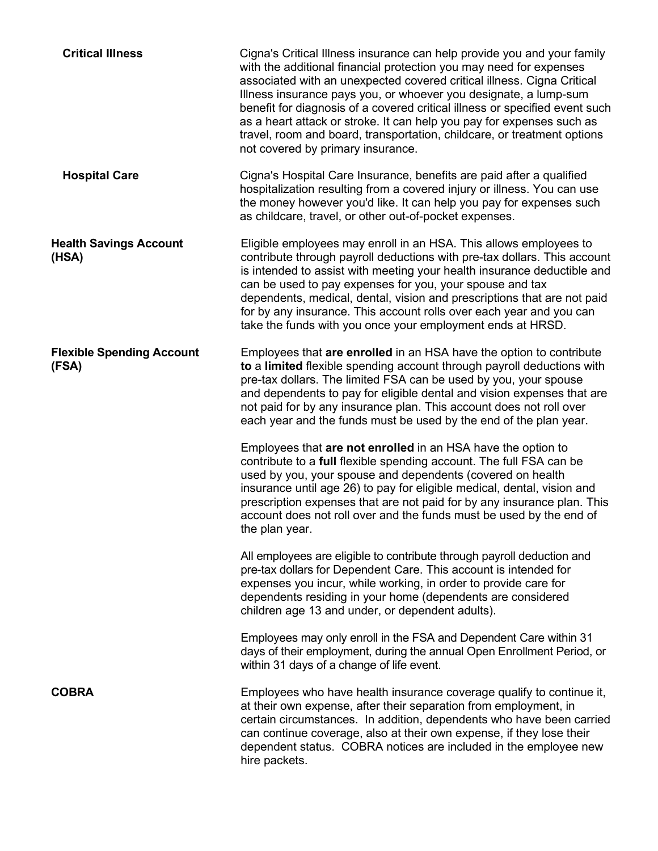| <b>Critical Illness</b>                   | Cigna's Critical Illness insurance can help provide you and your family<br>with the additional financial protection you may need for expenses<br>associated with an unexpected covered critical illness. Cigna Critical<br>Illness insurance pays you, or whoever you designate, a lump-sum<br>benefit for diagnosis of a covered critical illness or specified event such<br>as a heart attack or stroke. It can help you pay for expenses such as<br>travel, room and board, transportation, childcare, or treatment options<br>not covered by primary insurance. |
|-------------------------------------------|---------------------------------------------------------------------------------------------------------------------------------------------------------------------------------------------------------------------------------------------------------------------------------------------------------------------------------------------------------------------------------------------------------------------------------------------------------------------------------------------------------------------------------------------------------------------|
| <b>Hospital Care</b>                      | Cigna's Hospital Care Insurance, benefits are paid after a qualified<br>hospitalization resulting from a covered injury or illness. You can use<br>the money however you'd like. It can help you pay for expenses such<br>as childcare, travel, or other out-of-pocket expenses.                                                                                                                                                                                                                                                                                    |
| <b>Health Savings Account</b><br>(HSA)    | Eligible employees may enroll in an HSA. This allows employees to<br>contribute through payroll deductions with pre-tax dollars. This account<br>is intended to assist with meeting your health insurance deductible and<br>can be used to pay expenses for you, your spouse and tax<br>dependents, medical, dental, vision and prescriptions that are not paid<br>for by any insurance. This account rolls over each year and you can<br>take the funds with you once your employment ends at HRSD.                                                                |
| <b>Flexible Spending Account</b><br>(FSA) | Employees that are enrolled in an HSA have the option to contribute<br>to a limited flexible spending account through payroll deductions with<br>pre-tax dollars. The limited FSA can be used by you, your spouse<br>and dependents to pay for eligible dental and vision expenses that are<br>not paid for by any insurance plan. This account does not roll over<br>each year and the funds must be used by the end of the plan year.                                                                                                                             |
|                                           | Employees that are not enrolled in an HSA have the option to<br>contribute to a full flexible spending account. The full FSA can be<br>used by you, your spouse and dependents (covered on health<br>insurance until age 26) to pay for eligible medical, dental, vision and<br>prescription expenses that are not paid for by any insurance plan. This<br>account does not roll over and the funds must be used by the end of<br>the plan year.                                                                                                                    |
|                                           | All employees are eligible to contribute through payroll deduction and<br>pre-tax dollars for Dependent Care. This account is intended for<br>expenses you incur, while working, in order to provide care for<br>dependents residing in your home (dependents are considered<br>children age 13 and under, or dependent adults).                                                                                                                                                                                                                                    |
|                                           | Employees may only enroll in the FSA and Dependent Care within 31<br>days of their employment, during the annual Open Enrollment Period, or<br>within 31 days of a change of life event.                                                                                                                                                                                                                                                                                                                                                                            |
| <b>COBRA</b>                              | Employees who have health insurance coverage qualify to continue it,<br>at their own expense, after their separation from employment, in<br>certain circumstances. In addition, dependents who have been carried<br>can continue coverage, also at their own expense, if they lose their<br>dependent status. COBRA notices are included in the employee new<br>hire packets.                                                                                                                                                                                       |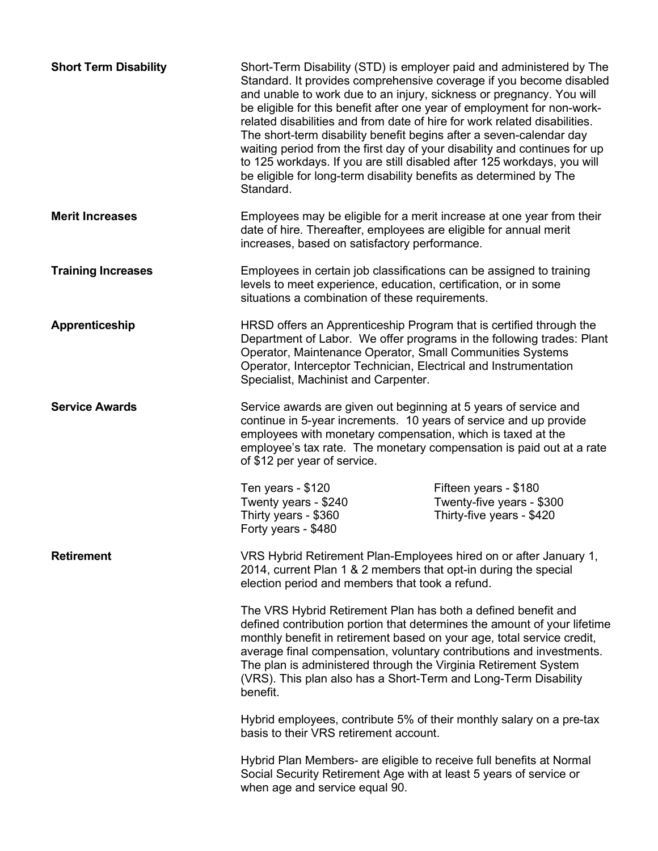| <b>Short Term Disability</b> | Short-Term Disability (STD) is employer paid and administered by The<br>Standard. It provides comprehensive coverage if you become disabled<br>and unable to work due to an injury, sickness or pregnancy. You will<br>be eligible for this benefit after one year of employment for non-work-<br>related disabilities and from date of hire for work related disabilities.<br>The short-term disability benefit begins after a seven-calendar day<br>waiting period from the first day of your disability and continues for up<br>to 125 workdays. If you are still disabled after 125 workdays, you will<br>be eligible for long-term disability benefits as determined by The<br>Standard. |                                                                                 |
|------------------------------|-----------------------------------------------------------------------------------------------------------------------------------------------------------------------------------------------------------------------------------------------------------------------------------------------------------------------------------------------------------------------------------------------------------------------------------------------------------------------------------------------------------------------------------------------------------------------------------------------------------------------------------------------------------------------------------------------|---------------------------------------------------------------------------------|
| <b>Merit Increases</b>       | Employees may be eligible for a merit increase at one year from their<br>date of hire. Thereafter, employees are eligible for annual merit<br>increases, based on satisfactory performance.                                                                                                                                                                                                                                                                                                                                                                                                                                                                                                   |                                                                                 |
| <b>Training Increases</b>    | Employees in certain job classifications can be assigned to training<br>levels to meet experience, education, certification, or in some<br>situations a combination of these requirements.                                                                                                                                                                                                                                                                                                                                                                                                                                                                                                    |                                                                                 |
| Apprenticeship               | HRSD offers an Apprenticeship Program that is certified through the<br>Department of Labor. We offer programs in the following trades: Plant<br>Operator, Maintenance Operator, Small Communities Systems<br>Operator, Interceptor Technician, Electrical and Instrumentation<br>Specialist, Machinist and Carpenter.                                                                                                                                                                                                                                                                                                                                                                         |                                                                                 |
| <b>Service Awards</b>        | Service awards are given out beginning at 5 years of service and<br>continue in 5-year increments. 10 years of service and up provide<br>employees with monetary compensation, which is taxed at the<br>employee's tax rate. The monetary compensation is paid out at a rate<br>of \$12 per year of service.                                                                                                                                                                                                                                                                                                                                                                                  |                                                                                 |
|                              | Ten years - \$120<br>Twenty years - \$240<br>Thirty years - \$360<br>Forty years - \$480                                                                                                                                                                                                                                                                                                                                                                                                                                                                                                                                                                                                      | Fifteen years - \$180<br>Twenty-five years - \$300<br>Thirty-five years - \$420 |
| <b>Retirement</b>            | VRS Hybrid Retirement Plan-Employees hired on or after January 1,<br>2014, current Plan 1 & 2 members that opt-in during the special<br>election period and members that took a refund.                                                                                                                                                                                                                                                                                                                                                                                                                                                                                                       |                                                                                 |
|                              | The VRS Hybrid Retirement Plan has both a defined benefit and<br>defined contribution portion that determines the amount of your lifetime<br>monthly benefit in retirement based on your age, total service credit,<br>average final compensation, voluntary contributions and investments.<br>The plan is administered through the Virginia Retirement System<br>(VRS). This plan also has a Short-Term and Long-Term Disability<br>benefit.                                                                                                                                                                                                                                                 |                                                                                 |
|                              | Hybrid employees, contribute 5% of their monthly salary on a pre-tax<br>basis to their VRS retirement account.                                                                                                                                                                                                                                                                                                                                                                                                                                                                                                                                                                                |                                                                                 |
|                              | Hybrid Plan Members- are eligible to receive full benefits at Normal<br>Social Security Retirement Age with at least 5 years of service or<br>when age and service equal 90.                                                                                                                                                                                                                                                                                                                                                                                                                                                                                                                  |                                                                                 |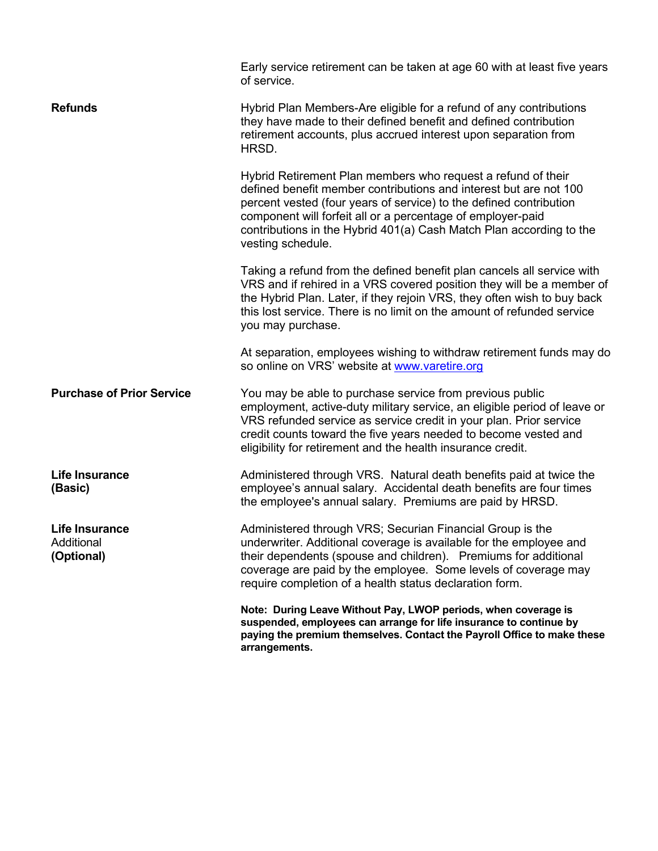|                                            | Early service retirement can be taken at age 60 with at least five years<br>of service.                                                                                                                                                                                                                                                                            |
|--------------------------------------------|--------------------------------------------------------------------------------------------------------------------------------------------------------------------------------------------------------------------------------------------------------------------------------------------------------------------------------------------------------------------|
| <b>Refunds</b>                             | Hybrid Plan Members-Are eligible for a refund of any contributions<br>they have made to their defined benefit and defined contribution<br>retirement accounts, plus accrued interest upon separation from<br>HRSD.                                                                                                                                                 |
|                                            | Hybrid Retirement Plan members who request a refund of their<br>defined benefit member contributions and interest but are not 100<br>percent vested (four years of service) to the defined contribution<br>component will forfeit all or a percentage of employer-paid<br>contributions in the Hybrid 401(a) Cash Match Plan according to the<br>vesting schedule. |
|                                            | Taking a refund from the defined benefit plan cancels all service with<br>VRS and if rehired in a VRS covered position they will be a member of<br>the Hybrid Plan. Later, if they rejoin VRS, they often wish to buy back<br>this lost service. There is no limit on the amount of refunded service<br>you may purchase.                                          |
|                                            | At separation, employees wishing to withdraw retirement funds may do<br>so online on VRS' website at www.varetire.org                                                                                                                                                                                                                                              |
| <b>Purchase of Prior Service</b>           | You may be able to purchase service from previous public<br>employment, active-duty military service, an eligible period of leave or<br>VRS refunded service as service credit in your plan. Prior service<br>credit counts toward the five years needed to become vested and<br>eligibility for retirement and the health insurance credit.                       |
| Life Insurance<br>(Basic)                  | Administered through VRS. Natural death benefits paid at twice the<br>employee's annual salary. Accidental death benefits are four times<br>the employee's annual salary. Premiums are paid by HRSD.                                                                                                                                                               |
| Life Insurance<br>Additional<br>(Optional) | Administered through VRS; Securian Financial Group is the<br>underwriter. Additional coverage is available for the employee and<br>their dependents (spouse and children). Premiums for additional<br>coverage are paid by the employee. Some levels of coverage may<br>require completion of a health status declaration form.                                    |
|                                            | Note: During Leave Without Pay, LWOP periods, when coverage is<br>suspended, employees can arrange for life insurance to continue by<br>paying the premium themselves. Contact the Payroll Office to make these<br>arrangements.                                                                                                                                   |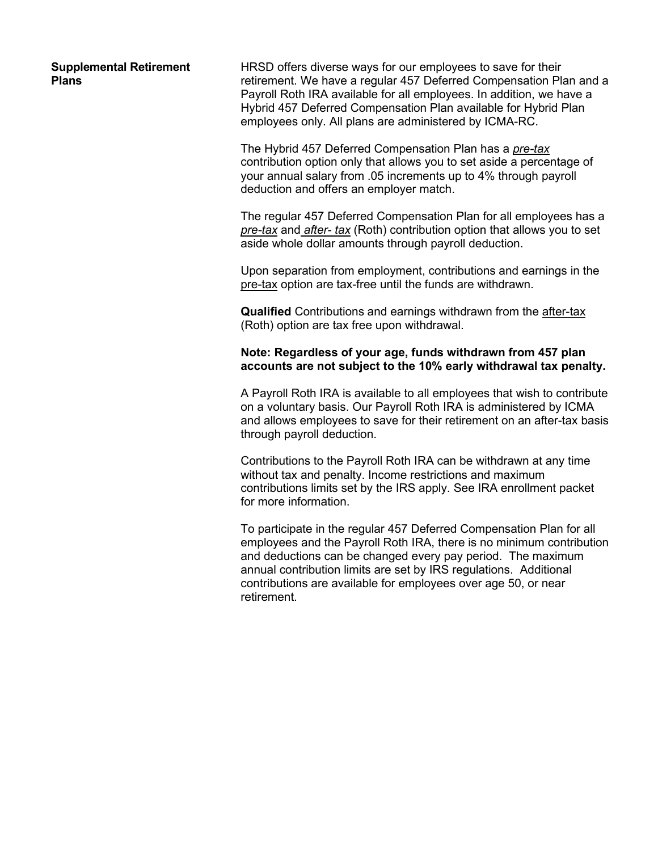**Supplemental Retirement Plans**

HRSD offers diverse ways for our employees to save for their retirement. We have a regular 457 Deferred Compensation Plan and a Payroll Roth IRA available for all employees. In addition, we have a Hybrid 457 Deferred Compensation Plan available for Hybrid Plan employees only. All plans are administered by ICMA-RC.

The Hybrid 457 Deferred Compensation Plan has a *pre-tax*  contribution option only that allows you to set aside a percentage of your annual salary from .05 increments up to 4% through payroll deduction and offers an employer match.

The regular 457 Deferred Compensation Plan for all employees has a *pre-tax* and *after- tax* (Roth) contribution option that allows you to set aside whole dollar amounts through payroll deduction.

Upon separation from employment, contributions and earnings in the pre-tax option are tax-free until the funds are withdrawn.

**Qualified** Contributions and earnings withdrawn from the after-tax (Roth) option are tax free upon withdrawal.

## **Note: Regardless of your age, funds withdrawn from 457 plan accounts are not subject to the 10% early withdrawal tax penalty.**

A Payroll Roth IRA is available to all employees that wish to contribute on a voluntary basis. Our Payroll Roth IRA is administered by ICMA and allows employees to save for their retirement on an after-tax basis through payroll deduction.

Contributions to the Payroll Roth IRA can be withdrawn at any time without tax and penalty. Income restrictions and maximum contributions limits set by the IRS apply. See IRA enrollment packet for more information.

To participate in the regular 457 Deferred Compensation Plan for all employees and the Payroll Roth IRA, there is no minimum contribution and deductions can be changed every pay period. The maximum annual contribution limits are set by IRS regulations. Additional contributions are available for employees over age 50, or near retirement.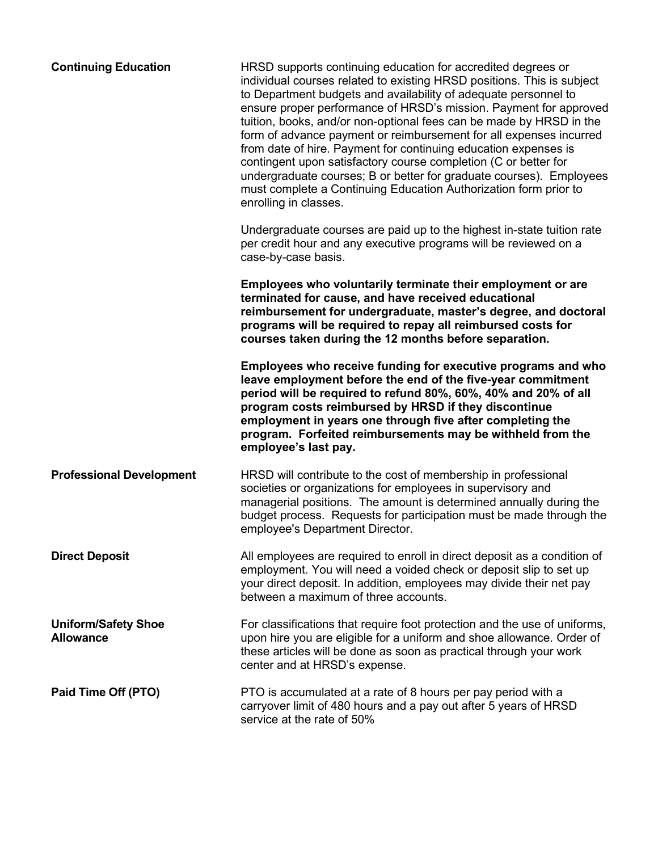| <b>Continuing Education</b>                    | HRSD supports continuing education for accredited degrees or<br>individual courses related to existing HRSD positions. This is subject<br>to Department budgets and availability of adequate personnel to<br>ensure proper performance of HRSD's mission. Payment for approved<br>tuition, books, and/or non-optional fees can be made by HRSD in the<br>form of advance payment or reimbursement for all expenses incurred<br>from date of hire. Payment for continuing education expenses is<br>contingent upon satisfactory course completion (C or better for<br>undergraduate courses; B or better for graduate courses). Employees<br>must complete a Continuing Education Authorization form prior to<br>enrolling in classes. |
|------------------------------------------------|---------------------------------------------------------------------------------------------------------------------------------------------------------------------------------------------------------------------------------------------------------------------------------------------------------------------------------------------------------------------------------------------------------------------------------------------------------------------------------------------------------------------------------------------------------------------------------------------------------------------------------------------------------------------------------------------------------------------------------------|
|                                                | Undergraduate courses are paid up to the highest in-state tuition rate<br>per credit hour and any executive programs will be reviewed on a<br>case-by-case basis.                                                                                                                                                                                                                                                                                                                                                                                                                                                                                                                                                                     |
|                                                | Employees who voluntarily terminate their employment or are<br>terminated for cause, and have received educational<br>reimbursement for undergraduate, master's degree, and doctoral<br>programs will be required to repay all reimbursed costs for<br>courses taken during the 12 months before separation.                                                                                                                                                                                                                                                                                                                                                                                                                          |
|                                                | Employees who receive funding for executive programs and who<br>leave employment before the end of the five-year commitment<br>period will be required to refund 80%, 60%, 40% and 20% of all<br>program costs reimbursed by HRSD if they discontinue<br>employment in years one through five after completing the<br>program. Forfeited reimbursements may be withheld from the<br>employee's last pay.                                                                                                                                                                                                                                                                                                                              |
| <b>Professional Development</b>                | HRSD will contribute to the cost of membership in professional<br>societies or organizations for employees in supervisory and<br>managerial positions. The amount is determined annually during the<br>budget process. Requests for participation must be made through the<br>employee's Department Director.                                                                                                                                                                                                                                                                                                                                                                                                                         |
| <b>Direct Deposit</b>                          | All employees are required to enroll in direct deposit as a condition of<br>employment. You will need a voided check or deposit slip to set up<br>your direct deposit. In addition, employees may divide their net pay<br>between a maximum of three accounts.                                                                                                                                                                                                                                                                                                                                                                                                                                                                        |
| <b>Uniform/Safety Shoe</b><br><b>Allowance</b> | For classifications that require foot protection and the use of uniforms,<br>upon hire you are eligible for a uniform and shoe allowance. Order of<br>these articles will be done as soon as practical through your work<br>center and at HRSD's expense.                                                                                                                                                                                                                                                                                                                                                                                                                                                                             |
| Paid Time Off (PTO)                            | PTO is accumulated at a rate of 8 hours per pay period with a<br>carryover limit of 480 hours and a pay out after 5 years of HRSD<br>service at the rate of 50%                                                                                                                                                                                                                                                                                                                                                                                                                                                                                                                                                                       |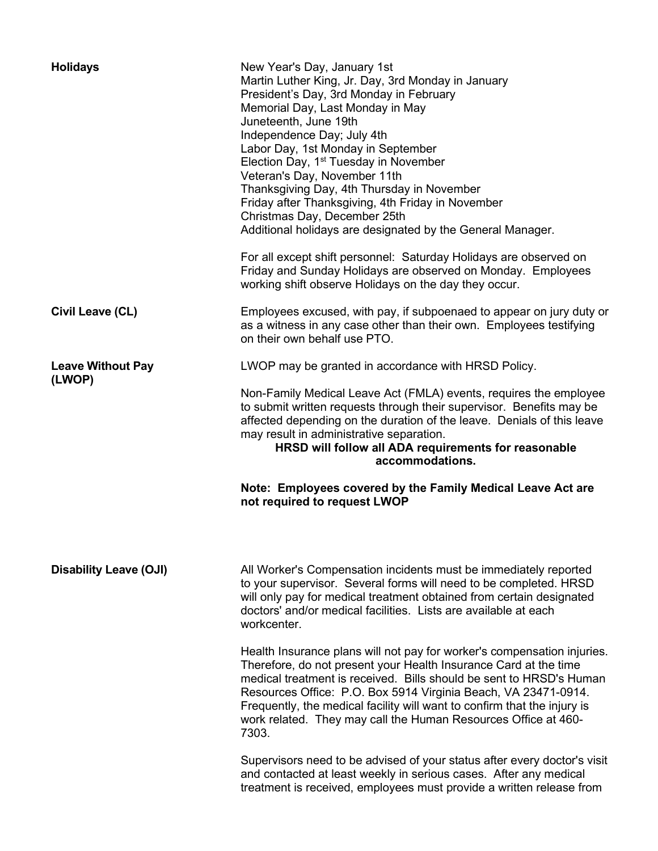| <b>Holidays</b>                    | New Year's Day, January 1st<br>Martin Luther King, Jr. Day, 3rd Monday in January<br>President's Day, 3rd Monday in February<br>Memorial Day, Last Monday in May<br>Juneteenth, June 19th<br>Independence Day; July 4th<br>Labor Day, 1st Monday in September<br>Election Day, 1 <sup>st</sup> Tuesday in November<br>Veteran's Day, November 11th<br>Thanksgiving Day, 4th Thursday in November<br>Friday after Thanksgiving, 4th Friday in November<br>Christmas Day, December 25th<br>Additional holidays are designated by the General Manager.<br>For all except shift personnel: Saturday Holidays are observed on<br>Friday and Sunday Holidays are observed on Monday. Employees<br>working shift observe Holidays on the day they occur. |
|------------------------------------|---------------------------------------------------------------------------------------------------------------------------------------------------------------------------------------------------------------------------------------------------------------------------------------------------------------------------------------------------------------------------------------------------------------------------------------------------------------------------------------------------------------------------------------------------------------------------------------------------------------------------------------------------------------------------------------------------------------------------------------------------|
| Civil Leave (CL)                   | Employees excused, with pay, if subpoenaed to appear on jury duty or<br>as a witness in any case other than their own. Employees testifying<br>on their own behalf use PTO.                                                                                                                                                                                                                                                                                                                                                                                                                                                                                                                                                                       |
| <b>Leave Without Pay</b><br>(LWOP) | LWOP may be granted in accordance with HRSD Policy.<br>Non-Family Medical Leave Act (FMLA) events, requires the employee<br>to submit written requests through their supervisor. Benefits may be<br>affected depending on the duration of the leave. Denials of this leave<br>may result in administrative separation.<br>HRSD will follow all ADA requirements for reasonable<br>accommodations.<br>Note: Employees covered by the Family Medical Leave Act are<br>not required to request LWOP                                                                                                                                                                                                                                                  |
| <b>Disability Leave (OJI)</b>      | All Worker's Compensation incidents must be immediately reported<br>to your supervisor. Several forms will need to be completed. HRSD<br>will only pay for medical treatment obtained from certain designated<br>doctors' and/or medical facilities. Lists are available at each<br>workcenter.                                                                                                                                                                                                                                                                                                                                                                                                                                                   |
|                                    | Health Insurance plans will not pay for worker's compensation injuries.<br>Therefore, do not present your Health Insurance Card at the time<br>medical treatment is received. Bills should be sent to HRSD's Human<br>Resources Office: P.O. Box 5914 Virginia Beach, VA 23471-0914.<br>Frequently, the medical facility will want to confirm that the injury is<br>work related. They may call the Human Resources Office at 460-<br>7303.                                                                                                                                                                                                                                                                                                       |
|                                    | Supervisors need to be advised of your status after every doctor's visit<br>and contacted at least weekly in serious cases. After any medical<br>treatment is received, employees must provide a written release from                                                                                                                                                                                                                                                                                                                                                                                                                                                                                                                             |